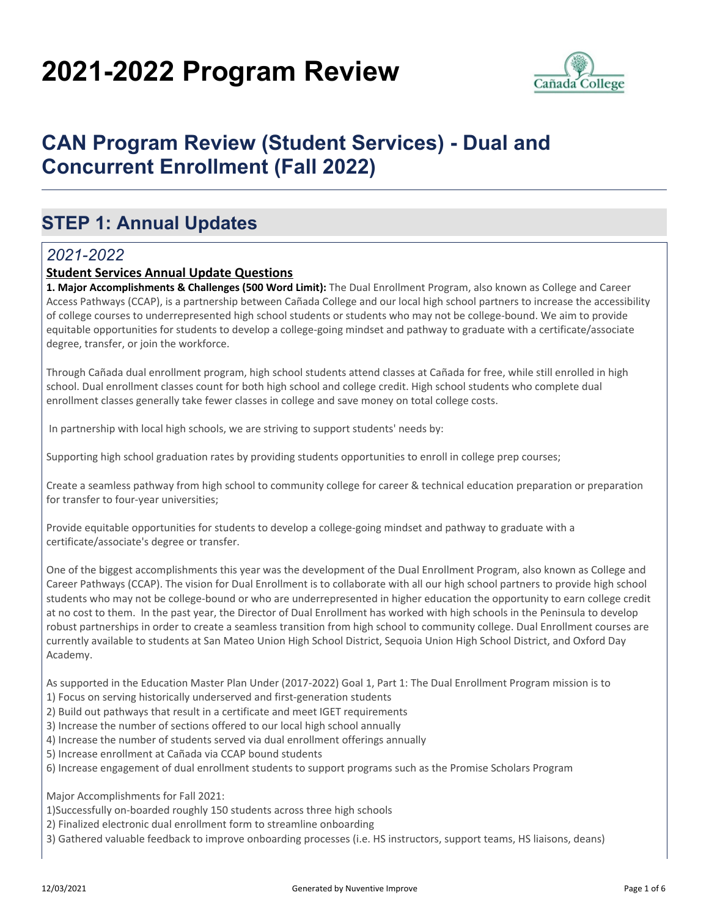# **2021-2022 Program Review**



# **CAN Program Review (Student Services) - Dual and Concurrent Enrollment (Fall 2022)**

### **STEP 1: Annual Updates**

### *2021-2022*

### **Student Services Annual Update Questions**

**1. Major Accomplishments & Challenges (500 Word Limit):** The Dual Enrollment Program, also known as College and Career Access Pathways (CCAP), is a partnership between Cañada College and our local high school partners to increase the accessibility of college courses to underrepresented high school students or students who may not be college-bound. We aim to provide equitable opportunities for students to develop a college-going mindset and pathway to graduate with a certificate/associate degree, transfer, or join the workforce.

Through Cañada dual enrollment program, high school students attend classes at Cañada for free, while still enrolled in high school. Dual enrollment classes count for both high school and college credit. High school students who complete dual enrollment classes generally take fewer classes in college and save money on total college costs.

In partnership with local high schools, we are striving to support students' needs by:

Supporting high school graduation rates by providing students opportunities to enroll in college prep courses;

Create a seamless pathway from high school to community college for career & technical education preparation or preparation for transfer to four-year universities;

Provide equitable opportunities for students to develop a college-going mindset and pathway to graduate with a certificate/associate's degree or transfer.

One of the biggest accomplishments this year was the development of the Dual Enrollment Program, also known as College and Career Pathways (CCAP). The vision for Dual Enrollment is to collaborate with all our high school partners to provide high school students who may not be college-bound or who are underrepresented in higher education the opportunity to earn college credit at no cost to them. In the past year, the Director of Dual Enrollment has worked with high schools in the Peninsula to develop robust partnerships in order to create a seamless transition from high school to community college. Dual Enrollment courses are currently available to students at San Mateo Union High School District, Sequoia Union High School District, and Oxford Day Academy.

As supported in the Education Master Plan Under (2017-2022) Goal 1, Part 1: The Dual Enrollment Program mission is to

- 1) Focus on serving historically underserved and first-generation students
- 2) Build out pathways that result in a certificate and meet IGET requirements
- 3) Increase the number of sections offered to our local high school annually
- 4) Increase the number of students served via dual enrollment offerings annually
- 5) Increase enrollment at Cañada via CCAP bound students
- 6) Increase engagement of dual enrollment students to support programs such as the Promise Scholars Program

Major Accomplishments for Fall 2021:

1)Successfully on-boarded roughly 150 students across three high schools

- 2) Finalized electronic dual enrollment form to streamline onboarding
- 3) Gathered valuable feedback to improve onboarding processes (i.e. HS instructors, support teams, HS liaisons, deans)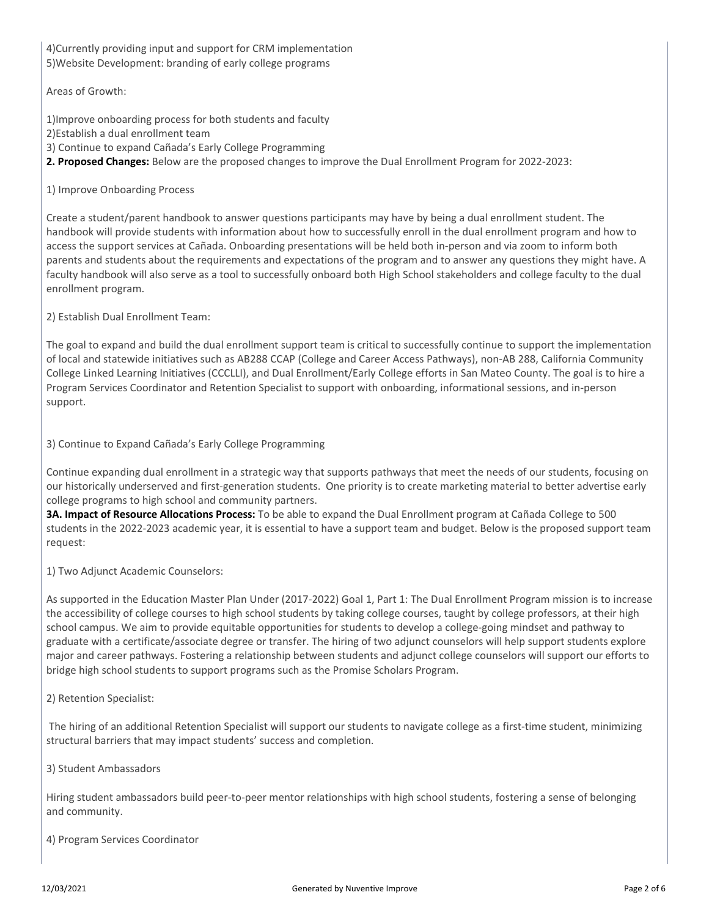4)Currently providing input and support for CRM implementation 5)Website Development: branding of early college programs

Areas of Growth:

1)Improve onboarding process for both students and faculty

2)Establish a dual enrollment team

3) Continue to expand Cañada's Early College Programming

**2. Proposed Changes:** Below are the proposed changes to improve the Dual Enrollment Program for 2022-2023:

1) Improve Onboarding Process

Create a student/parent handbook to answer questions participants may have by being a dual enrollment student. The handbook will provide students with information about how to successfully enroll in the dual enrollment program and how to access the support services at Cañada. Onboarding presentations will be held both in-person and via zoom to inform both parents and students about the requirements and expectations of the program and to answer any questions they might have. A faculty handbook will also serve as a tool to successfully onboard both High School stakeholders and college faculty to the dual enrollment program.

2) Establish Dual Enrollment Team:

The goal to expand and build the dual enrollment support team is critical to successfully continue to support the implementation of local and statewide initiatives such as AB288 CCAP (College and Career Access Pathways), non-AB 288, California Community College Linked Learning Initiatives (CCCLLI), and Dual Enrollment/Early College efforts in San Mateo County. The goal is to hire a Program Services Coordinator and Retention Specialist to support with onboarding, informational sessions, and in-person support.

3) Continue to Expand Cañada's Early College Programming

Continue expanding dual enrollment in a strategic way that supports pathways that meet the needs of our students, focusing on our historically underserved and first-generation students. One priority is to create marketing material to better advertise early college programs to high school and community partners.

**3A. Impact of Resource Allocations Process:** To be able to expand the Dual Enrollment program at Cañada College to 500 students in the 2022-2023 academic year, it is essential to have a support team and budget. Below is the proposed support team request:

1) Two Adjunct Academic Counselors:

As supported in the Education Master Plan Under (2017-2022) Goal 1, Part 1: The Dual Enrollment Program mission is to increase the accessibility of college courses to high school students by taking college courses, taught by college professors, at their high school campus. We aim to provide equitable opportunities for students to develop a college-going mindset and pathway to graduate with a certificate/associate degree or transfer. The hiring of two adjunct counselors will help support students explore major and career pathways. Fostering a relationship between students and adjunct college counselors will support our efforts to bridge high school students to support programs such as the Promise Scholars Program.

2) Retention Specialist:

 The hiring of an additional Retention Specialist will support our students to navigate college as a first-time student, minimizing structural barriers that may impact students' success and completion.

3) Student Ambassadors

Hiring student ambassadors build peer-to-peer mentor relationships with high school students, fostering a sense of belonging and community.

4) Program Services Coordinator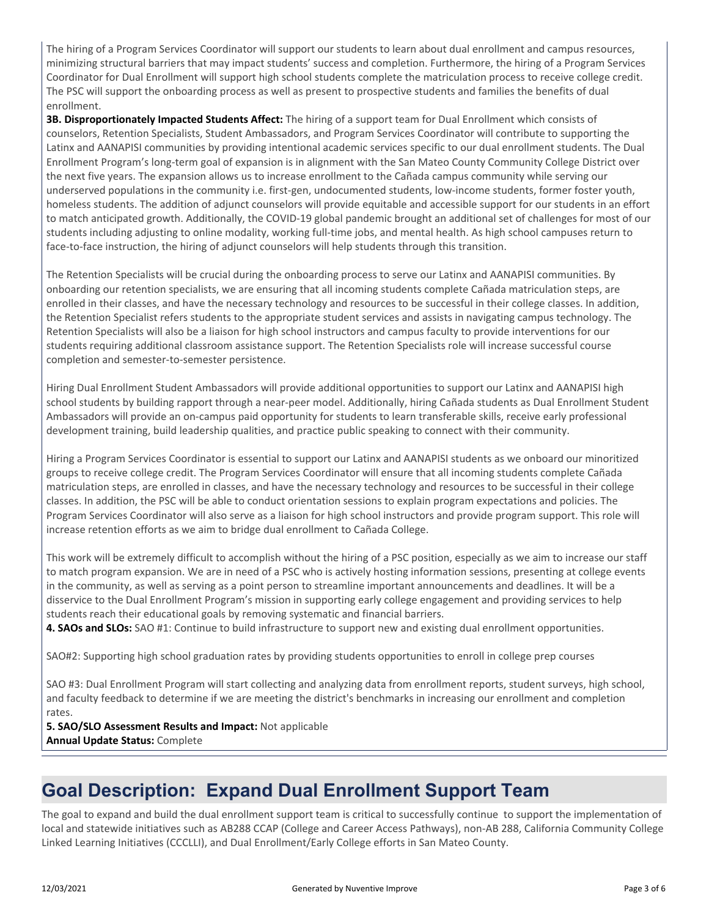The hiring of a Program Services Coordinator will support our students to learn about dual enrollment and campus resources, minimizing structural barriers that may impact students' success and completion. Furthermore, the hiring of a Program Services Coordinator for Dual Enrollment will support high school students complete the matriculation process to receive college credit. The PSC will support the onboarding process as well as present to prospective students and families the benefits of dual enrollment.

**3B. Disproportionately Impacted Students Affect:** The hiring of a support team for Dual Enrollment which consists of counselors, Retention Specialists, Student Ambassadors, and Program Services Coordinator will contribute to supporting the Latinx and AANAPISI communities by providing intentional academic services specific to our dual enrollment students. The Dual Enrollment Program's long-term goal of expansion is in alignment with the San Mateo County Community College District over the next five years. The expansion allows us to increase enrollment to the Cañada campus community while serving our underserved populations in the community i.e. first-gen, undocumented students, low-income students, former foster youth, homeless students. The addition of adjunct counselors will provide equitable and accessible support for our students in an effort to match anticipated growth. Additionally, the COVID-19 global pandemic brought an additional set of challenges for most of our students including adjusting to online modality, working full-time jobs, and mental health. As high school campuses return to face-to-face instruction, the hiring of adjunct counselors will help students through this transition.

The Retention Specialists will be crucial during the onboarding process to serve our Latinx and AANAPISI communities. By onboarding our retention specialists, we are ensuring that all incoming students complete Cañada matriculation steps, are enrolled in their classes, and have the necessary technology and resources to be successful in their college classes. In addition, the Retention Specialist refers students to the appropriate student services and assists in navigating campus technology. The Retention Specialists will also be a liaison for high school instructors and campus faculty to provide interventions for our students requiring additional classroom assistance support. The Retention Specialists role will increase successful course completion and semester-to-semester persistence.

Hiring Dual Enrollment Student Ambassadors will provide additional opportunities to support our Latinx and AANAPISI high school students by building rapport through a near-peer model. Additionally, hiring Cañada students as Dual Enrollment Student Ambassadors will provide an on-campus paid opportunity for students to learn transferable skills, receive early professional development training, build leadership qualities, and practice public speaking to connect with their community.

Hiring a Program Services Coordinator is essential to support our Latinx and AANAPISI students as we onboard our minoritized groups to receive college credit. The Program Services Coordinator will ensure that all incoming students complete Cañada matriculation steps, are enrolled in classes, and have the necessary technology and resources to be successful in their college classes. In addition, the PSC will be able to conduct orientation sessions to explain program expectations and policies. The Program Services Coordinator will also serve as a liaison for high school instructors and provide program support. This role will increase retention efforts as we aim to bridge dual enrollment to Cañada College.

This work will be extremely difficult to accomplish without the hiring of a PSC position, especially as we aim to increase our staff to match program expansion. We are in need of a PSC who is actively hosting information sessions, presenting at college events in the community, as well as serving as a point person to streamline important announcements and deadlines. It will be a disservice to the Dual Enrollment Program's mission in supporting early college engagement and providing services to help students reach their educational goals by removing systematic and financial barriers.

**4. SAOs and SLOs:** SAO #1: Continue to build infrastructure to support new and existing dual enrollment opportunities.

SAO#2: Supporting high school graduation rates by providing students opportunities to enroll in college prep courses

SAO #3: Dual Enrollment Program will start collecting and analyzing data from enrollment reports, student surveys, high school, and faculty feedback to determine if we are meeting the district's benchmarks in increasing our enrollment and completion rates.

**5. SAO/SLO Assessment Results and Impact:** Not applicable **Annual Update Status:** Complete

### **Goal Description: Expand Dual Enrollment Support Team**

The goal to expand and build the dual enrollment support team is critical to successfully continue to support the implementation of local and statewide initiatives such as AB288 CCAP (College and Career Access Pathways), non-AB 288, California Community College Linked Learning Initiatives (CCCLLI), and Dual Enrollment/Early College efforts in San Mateo County.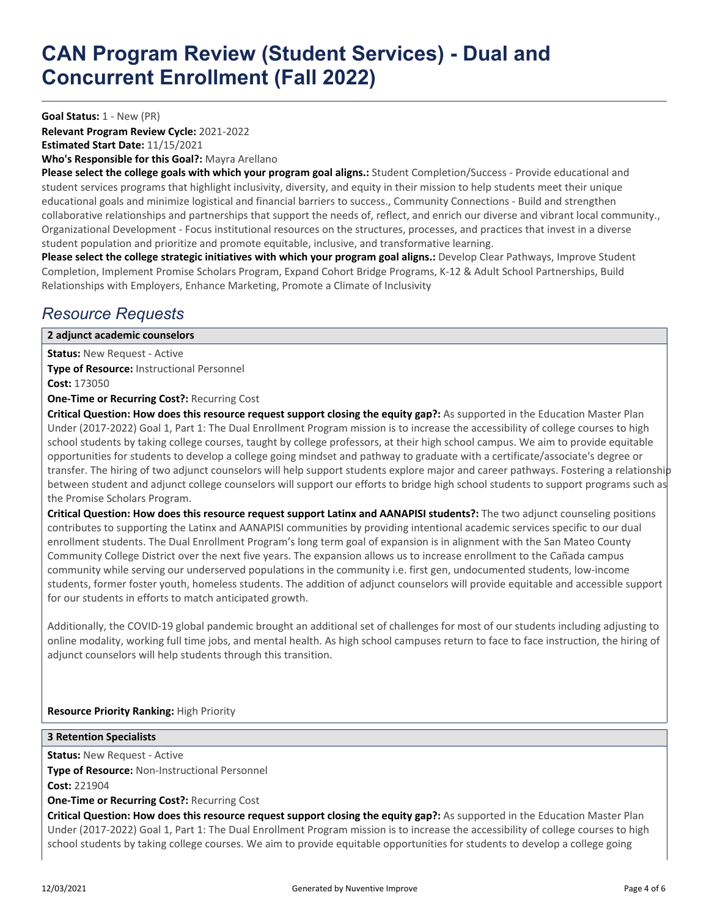**Goal Status:** 1 - New (PR)

**Relevant Program Review Cycle:** 2021-2022 **Estimated Start Date:** 11/15/2021

**Who's Responsible for this Goal?:** Mayra Arellano

**Please select the college goals with which your program goal aligns.:** Student Completion/Success - Provide educational and student services programs that highlight inclusivity, diversity, and equity in their mission to help students meet their unique educational goals and minimize logistical and financial barriers to success., Community Connections - Build and strengthen collaborative relationships and partnerships that support the needs of, reflect, and enrich our diverse and vibrant local community., Organizational Development - Focus institutional resources on the structures, processes, and practices that invest in a diverse student population and prioritize and promote equitable, inclusive, and transformative learning.

Please select the college strategic initiatives with which your program goal aligns.: Develop Clear Pathways, Improve Student Completion, Implement Promise Scholars Program, Expand Cohort Bridge Programs, K-12 & Adult School Partnerships, Build Relationships with Employers, Enhance Marketing, Promote a Climate of Inclusivity

### *Resource Requests*

#### **2 adjunct academic counselors**

**Status:** New Request - Active **Type of Resource:** Instructional Personnel **Cost:** 173050

**One-Time or Recurring Cost?:** Recurring Cost

**Critical Question: How does this resource request support closing the equity gap?:** As supported in the Education Master Plan Under (2017-2022) Goal 1, Part 1: The Dual Enrollment Program mission is to increase the accessibility of college courses to high school students by taking college courses, taught by college professors, at their high school campus. We aim to provide equitable opportunities for students to develop a college going mindset and pathway to graduate with a certificate/associate's degree or transfer. The hiring of two adjunct counselors will help support students explore major and career pathways. Fostering a relationship between student and adjunct college counselors will support our efforts to bridge high school students to support programs such as the Promise Scholars Program.

**Critical Question: How does this resource request support Latinx and AANAPISI students?:** The two adjunct counseling positions contributes to supporting the Latinx and AANAPISI communities by providing intentional academic services specific to our dual enrollment students. The Dual Enrollment Program's long term goal of expansion is in alignment with the San Mateo County Community College District over the next five years. The expansion allows us to increase enrollment to the Cañada campus community while serving our underserved populations in the community i.e. first gen, undocumented students, low-income students, former foster youth, homeless students. The addition of adjunct counselors will provide equitable and accessible support for our students in efforts to match anticipated growth.

Additionally, the COVID-19 global pandemic brought an additional set of challenges for most of our students including adjusting to online modality, working full time jobs, and mental health. As high school campuses return to face to face instruction, the hiring of adjunct counselors will help students through this transition.

#### **Resource Priority Ranking:** High Priority

**3 Retention Specialists**

**Status:** New Request - Active

**Type of Resource:** Non-Instructional Personnel

**Cost:** 221904

**One-Time or Recurring Cost?:** Recurring Cost

**Critical Question: How does this resource request support closing the equity gap?:** As supported in the Education Master Plan Under (2017-2022) Goal 1, Part 1: The Dual Enrollment Program mission is to increase the accessibility of college courses to high school students by taking college courses. We aim to provide equitable opportunities for students to develop a college going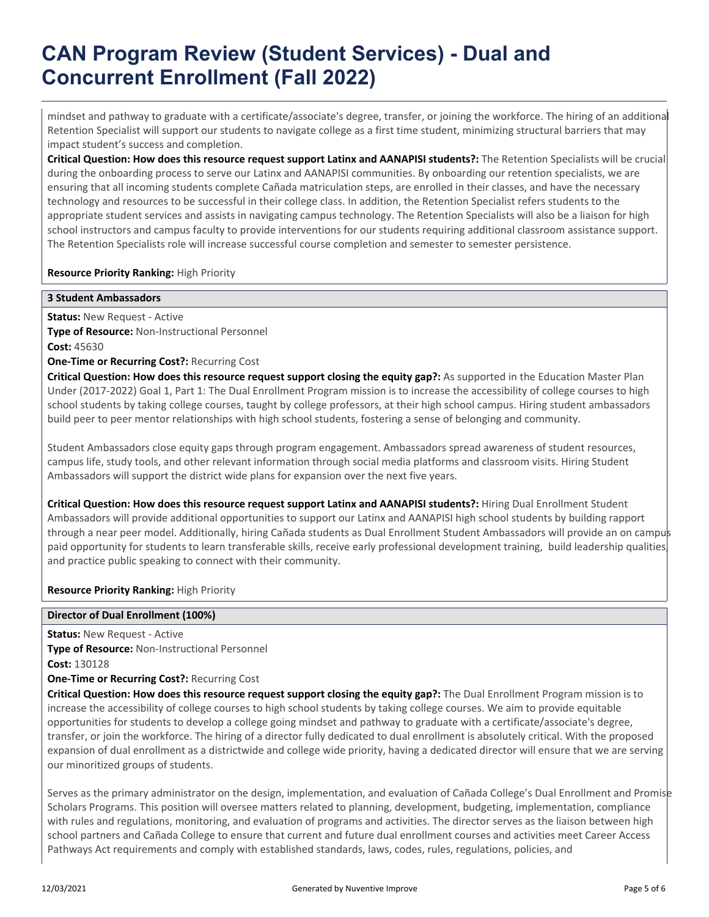# **CAN Program Review (Student Services) - Dual and Concurrent Enrollment (Fall 2022)**

mindset and pathway to graduate with a certificate/associate's degree, transfer, or joining the workforce. The hiring of an additional Retention Specialist will support our students to navigate college as a first time student, minimizing structural barriers that may impact student's success and completion.

**Critical Question: How does this resource request support Latinx and AANAPISI students?:** The Retention Specialists will be crucial during the onboarding process to serve our Latinx and AANAPISI communities. By onboarding our retention specialists, we are ensuring that all incoming students complete Cañada matriculation steps, are enrolled in their classes, and have the necessary technology and resources to be successful in their college class. In addition, the Retention Specialist refers students to the appropriate student services and assists in navigating campus technology. The Retention Specialists will also be a liaison for high school instructors and campus faculty to provide interventions for our students requiring additional classroom assistance support. The Retention Specialists role will increase successful course completion and semester to semester persistence.

#### **Resource Priority Ranking:** High Priority

#### **3 Student Ambassadors**

**Status: New Request - Active Type of Resource:** Non-Instructional Personnel **Cost:** 45630

**One-Time or Recurring Cost?:** Recurring Cost

Critical Question: How does this resource request support closing the equity gap?: As supported in the Education Master Plan Under (2017-2022) Goal 1, Part 1: The Dual Enrollment Program mission is to increase the accessibility of college courses to high school students by taking college courses, taught by college professors, at their high school campus. Hiring student ambassadors build peer to peer mentor relationships with high school students, fostering a sense of belonging and community.

Student Ambassadors close equity gaps through program engagement. Ambassadors spread awareness of student resources, campus life, study tools, and other relevant information through social media platforms and classroom visits. Hiring Student Ambassadors will support the district wide plans for expansion over the next five years.

**Critical Question: How does this resource request support Latinx and AANAPISI students?:** Hiring Dual Enrollment Student Ambassadors will provide additional opportunities to support our Latinx and AANAPISI high school students by building rapport through a near peer model. Additionally, hiring Cañada students as Dual Enrollment Student Ambassadors will provide an on campus paid opportunity for students to learn transferable skills, receive early professional development training, build leadership qualities, and practice public speaking to connect with their community.

#### **Resource Priority Ranking:** High Priority

#### **Director of Dual Enrollment (100%)**

**Status:** New Request - Active

**Type of Resource:** Non-Instructional Personnel

**Cost:** 130128

#### **One-Time or Recurring Cost?:** Recurring Cost

**Critical Question: How does this resource request support closing the equity gap?:** The Dual Enrollment Program mission is to increase the accessibility of college courses to high school students by taking college courses. We aim to provide equitable opportunities for students to develop a college going mindset and pathway to graduate with a certificate/associate's degree, transfer, or join the workforce. The hiring of a director fully dedicated to dual enrollment is absolutely critical. With the proposed expansion of dual enrollment as a districtwide and college wide priority, having a dedicated director will ensure that we are serving our minoritized groups of students.

Serves as the primary administrator on the design, implementation, and evaluation of Cañada College's Dual Enrollment and Promise Scholars Programs. This position will oversee matters related to planning, development, budgeting, implementation, compliance with rules and regulations, monitoring, and evaluation of programs and activities. The director serves as the liaison between high school partners and Cañada College to ensure that current and future dual enrollment courses and activities meet Career Access Pathways Act requirements and comply with established standards, laws, codes, rules, regulations, policies, and